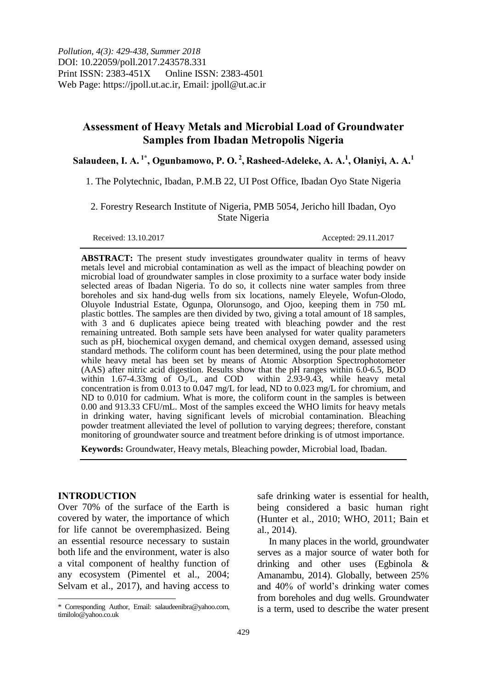# **Assessment of Heavy Metals and Microbial Load of Groundwater Samples from Ibadan Metropolis Nigeria**

**Salaudeen, I. A. 1\* , Ogunbamowo, P. O. <sup>2</sup> , Rasheed-Adeleke, A. A. 1 , Olaniyi, A. A.<sup>1</sup>**

1. The Polytechnic, Ibadan, P.M.B 22, UI Post Office, Ibadan Oyo State Nigeria

2. Forestry Research Institute of Nigeria, PMB 5054, Jericho hill Ibadan, Oyo State Nigeria

Received: 13.10.2017 Accepted: 29.11.2017

**ABSTRACT:** The present study investigates groundwater quality in terms of heavy metals level and microbial contamination as well as the impact of bleaching powder on microbial load of groundwater samples in close proximity to a surface water body inside selected areas of Ibadan Nigeria. To do so, it collects nine water samples from three boreholes and six hand-dug wells from six locations, namely Eleyele, Wofun-Olodo, Oluyole Industrial Estate, Ogunpa, Olorunsogo, and Ojoo, keeping them in 750 mL plastic bottles. The samples are then divided by two, giving a total amount of 18 samples, with 3 and 6 duplicates apiece being treated with bleaching powder and the rest remaining untreated. Both sample sets have been analysed for water quality parameters such as pH, biochemical oxygen demand, and chemical oxygen demand, assessed using standard methods. The coliform count has been determined, using the pour plate method while heavy metal has been set by means of Atomic Absorption Spectrophotometer (AAS) after nitric acid digestion. Results show that the pH ranges within 6.0-6.5, BOD within 1.67-4.33mg of  $O_2/L$ , and COD within 2.93-9.43, while heavy metal within 1.67-4.33mg of  $O_2/L$ , and COD concentration is from 0.013 to 0.047 mg/L for lead, ND to 0.023 mg/L for chromium, and ND to 0.010 for cadmium. What is more, the coliform count in the samples is between 0.00 and 913.33 CFU/mL. Most of the samples exceed the WHO limits for heavy metals in drinking water, having significant levels of microbial contamination. Bleaching powder treatment alleviated the level of pollution to varying degrees; therefore, constant monitoring of groundwater source and treatment before drinking is of utmost importance.

**Keywords:** Groundwater, Heavy metals, Bleaching powder, Microbial load, Ibadan.

## **INTRODUCTION**

 $\overline{a}$ 

Over 70% of the surface of the Earth is covered by water, the importance of which for life cannot be overemphasized. Being an essential resource necessary to sustain both life and the environment, water is also a vital component of healthy function of any ecosystem (Pimentel et al., 2004; Selvam et al., 2017), and having access to

safe drinking water is essential for health, being considered a basic human right (Hunter et al., 2010; WHO, 2011; Bain et al., 2014).

In many places in the world, groundwater serves as a major source of water both for drinking and other uses (Egbinola & Amanambu, 2014). Globally, between 25% and 40% of world's drinking water comes from boreholes and dug wells. Groundwater is a term, used to describe the water present

<sup>\*</sup> Corresponding Author, Email: salaudeenibra@yahoo.com, timilolo@yahoo.co.uk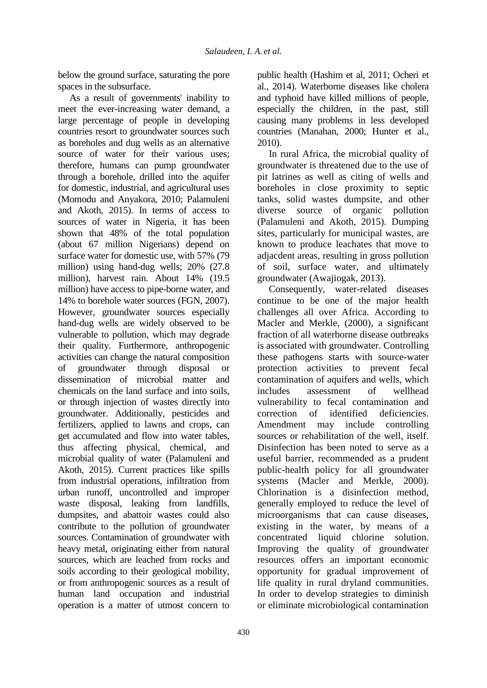below the ground surface, saturating the pore spaces in the subsurface.

As a result of governments' inability to meet the ever-increasing water demand, a large percentage of people in developing countries resort to groundwater sources such as boreholes and dug wells as an alternative source of water for their various uses; therefore, humans can pump groundwater through a borehole, drilled into the aquifer for domestic, industrial, and agricultural uses (Momodu and Anyakora, 2010; Palamuleni and Akoth, 2015). In terms of access to sources of water in Nigeria, it has been shown that 48% of the total population (about 67 million Nigerians) depend on surface water for domestic use, with 57% (79 million) using hand-dug wells; 20% (27.8 million), harvest rain. About 14% (19.5 million) have access to pipe-borne water, and 14% to borehole water sources (FGN, 2007). However, groundwater sources especially hand-dug wells are widely observed to be vulnerable to pollution, which may degrade their quality. Furthermore, anthropogenic activities can change the natural composition of groundwater through disposal or dissemination of microbial matter and chemicals on the land surface and into soils, or through injection of wastes directly into groundwater. Additionally, pesticides and fertilizers, applied to lawns and crops, can get accumulated and flow into water tables, thus affecting physical, chemical, and microbial quality of water (Palamuleni and Akoth, 2015). Current practices like spills from industrial operations, infiltration from urban runoff, uncontrolled and improper waste disposal, leaking from landfills, dumpsites, and abattoir wastes could also contribute to the pollution of groundwater sources. Contamination of groundwater with heavy metal, originating either from natural sources, which are leached from rocks and soils according to their geological mobility, or from anthropogenic sources as a result of human land occupation and industrial operation is a matter of utmost concern to

public health (Hashim et al, 2011; Ocheri et al., 2014). Waterborne diseases like cholera and typhoid have killed millions of people, especially the children, in the past, still causing many problems in less developed countries (Manahan, 2000; Hunter et al., 2010).

In rural Africa, the microbial quality of groundwater is threatened due to the use of pit latrines as well as citing of wells and boreholes in close proximity to septic tanks, solid wastes dumpsite, and other diverse source of organic pollution (Palamuleni and Akoth, 2015). Dumping sites, particularly for municipal wastes, are known to produce leachates that move to adjacdent areas, resulting in gross pollution of soil, surface water, and ultimately groundwater (Awajiogak, 2013).

Consequently, water-related diseases continue to be one of the major health challenges all over Africa. According to Macler and Merkle, (2000), a significant fraction of all waterborne disease outbreaks is associated with groundwater. Controlling these pathogens starts with source-water protection activities to prevent fecal contamination of aquifers and wells, which includes assessment of wellhead vulnerability to fecal contamination and correction of identified deficiencies. Amendment may include controlling sources or rehabilitation of the well, itself. Disinfection has been noted to serve as a useful barrier, recommended as a prudent public-health policy for all groundwater systems (Macler and Merkle, 2000). Chlorination is a disinfection method, generally employed to reduce the level of microorganisms that can cause diseases, existing in the water, by means of a concentrated liquid chlorine solution. Improving the quality of groundwater resources offers an important economic opportunity for gradual improvement of life quality in rural dryland communities. In order to develop strategies to diminish or eliminate microbiological contamination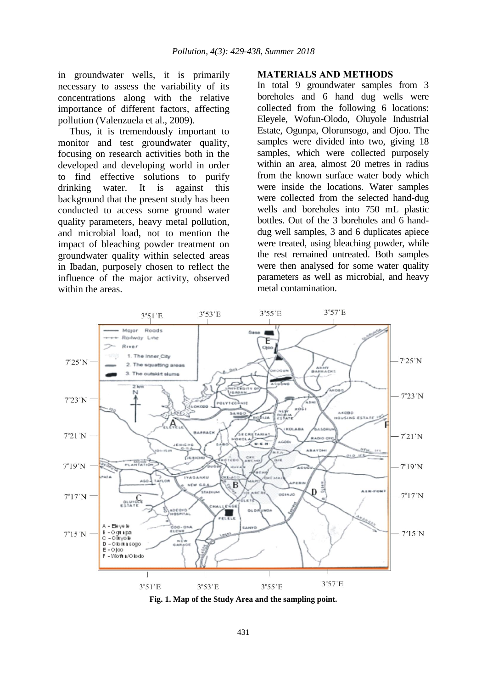in groundwater wells, it is primarily necessary to assess the variability of its concentrations along with the relative importance of different factors, affecting pollution (Valenzuela et al., 2009).

Thus, it is tremendously important to monitor and test groundwater quality, focusing on research activities both in the developed and developing world in order to find effective solutions to purify drinking water. It is against this background that the present study has been conducted to access some ground water quality parameters, heavy metal pollution, and microbial load, not to mention the impact of bleaching powder treatment on groundwater quality within selected areas in Ibadan, purposely chosen to reflect the influence of the major activity, observed within the areas.

#### **MATERIALS AND METHODS**

In total 9 groundwater samples from 3 boreholes and 6 hand dug wells were collected from the following 6 locations: Eleyele, Wofun-Olodo, Oluyole Industrial Estate, Ogunpa, Olorunsogo, and Ojoo. The samples were divided into two, giving 18 samples, which were collected purposely within an area, almost 20 metres in radius from the known surface water body which were inside the locations. Water samples were collected from the selected hand-dug wells and boreholes into 750 mL plastic bottles. Out of the 3 boreholes and 6 handdug well samples, 3 and 6 duplicates apiece were treated, using bleaching powder, while the rest remained untreated. Both samples were then analysed for some water quality parameters as well as microbial, and heavy metal contamination.



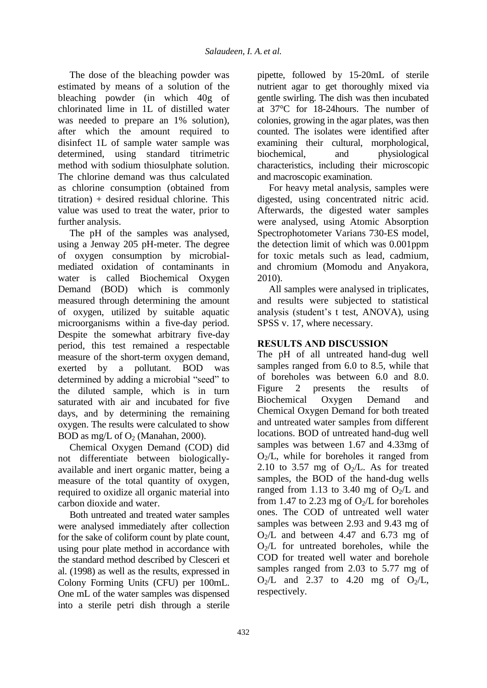The dose of the bleaching powder was estimated by means of a solution of the bleaching powder (in which 40g of chlorinated lime in 1L of distilled water was needed to prepare an 1% solution), after which the amount required to disinfect 1L of sample water sample was determined, using standard titrimetric method with sodium thiosulphate solution. The chlorine demand was thus calculated as chlorine consumption (obtained from titration) + desired residual chlorine. This value was used to treat the water, prior to further analysis.

The pH of the samples was analysed, using a Jenway 205 pH-meter. The degree of oxygen consumption by microbialmediated oxidation of contaminants in water is called Biochemical Oxygen Demand (BOD) which is commonly measured through determining the amount of oxygen, utilized by suitable aquatic microorganisms within a five-day period. Despite the somewhat arbitrary five-day period, this test remained a respectable measure of the short-term oxygen demand, exerted by a pollutant. BOD was determined by adding a microbial "seed" to the diluted sample, which is in turn saturated with air and incubated for five days, and by determining the remaining oxygen. The results were calculated to show BOD as mg/L of  $O_2$  (Manahan, 2000).

Chemical Oxygen Demand (COD) did not differentiate between biologicallyavailable and inert organic matter, being a measure of the total quantity of oxygen, required to oxidize all organic material into carbon dioxide and water.

Both untreated and treated water samples were analysed immediately after collection for the sake of coliform count by plate count, using pour plate method in accordance with the standard method described by Clesceri et al. (1998) as well as the results, expressed in Colony Forming Units (CFU) per 100mL. One mL of the water samples was dispensed into a sterile petri dish through a sterile pipette, followed by 15-20mL of sterile nutrient agar to get thoroughly mixed via gentle swirling. The dish was then incubated at 37°C for 18-24hours. The number of colonies, growing in the agar plates, was then counted. The isolates were identified after examining their cultural, morphological, biochemical, and physiological characteristics, including their microscopic and macroscopic examination.

For heavy metal analysis, samples were digested, using concentrated nitric acid. Afterwards, the digested water samples were analysed, using Atomic Absorption Spectrophotometer Varians 730-ES model, the detection limit of which was 0.001ppm for toxic metals such as lead, cadmium, and chromium (Momodu and Anyakora, 2010).

All samples were analysed in triplicates, and results were subjected to statistical analysis (student's t test, ANOVA), using SPSS v. 17, where necessary.

## **RESULTS AND DISCUSSION**

The pH of all untreated hand-dug well samples ranged from 6.0 to 8.5, while that of boreholes was between 6.0 and 8.0. Figure 2 presents the results of Biochemical Oxygen Demand and Chemical Oxygen Demand for both treated and untreated water samples from different locations. BOD of untreated hand-dug well samples was between 1.67 and 4.33mg of  $O_2/L$ , while for boreholes it ranged from 2.10 to 3.57 mg of  $O<sub>2</sub>/L$ . As for treated samples, the BOD of the hand-dug wells ranged from 1.13 to 3.40 mg of  $O_2/L$  and from 1.47 to 2.23 mg of  $O_2/L$  for boreholes ones. The COD of untreated well water samples was between 2.93 and 9.43 mg of  $O<sub>2</sub>/L$  and between 4.47 and 6.73 mg of  $O<sub>2</sub>/L$  for untreated boreholes, while the COD for treated well water and borehole samples ranged from 2.03 to 5.77 mg of  $O_2/L$  and 2.37 to 4.20 mg of  $O_2/L$ , respectively.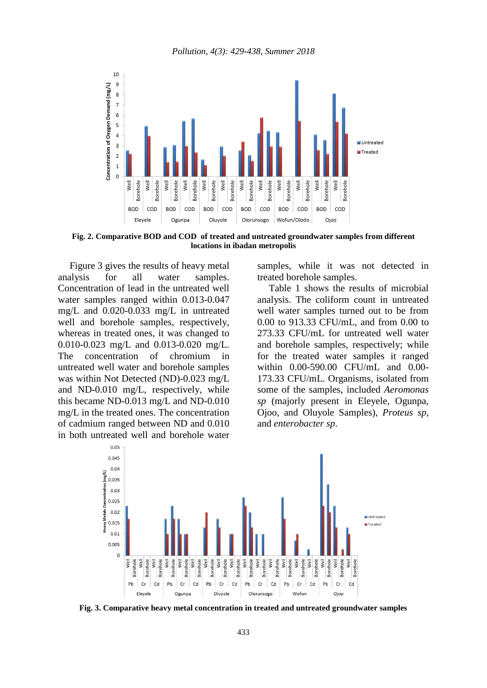

**Fig. 2. Comparative BOD and COD of treated and untreated groundwater samples from different locations in ibadan metropolis**

Figure 3 gives the results of heavy metal analysis for all water samples. Concentration of lead in the untreated well water samples ranged within 0.013-0.047 mg/L and 0.020-0.033 mg/L in untreated well and borehole samples, respectively, whereas in treated ones, it was changed to 0.010-0.023 mg/L and 0.013-0.020 mg/L. The concentration of chromium in untreated well water and borehole samples was within Not Detected (ND)-0.023 mg/L and ND-0.010 mg/L, respectively, while this became ND-0.013 mg/L and ND-0.010 mg/L in the treated ones. The concentration of cadmium ranged between ND and 0.010 in both untreated well and borehole water samples, while it was not detected in treated borehole samples.

Table 1 shows the results of microbial analysis. The coliform count in untreated well water samples turned out to be from 0.00 to 913.33 CFU/mL, and from 0.00 to 273.33 CFU/mL for untreated well water and borehole samples, respectively; while for the treated water samples it ranged within 0.00-590.00 CFU/mL and 0.00- 173.33 CFU/mL. Organisms, isolated from some of the samples, included *Aeromonas sp* (majorly present in Eleyele, Ogunpa, Ojoo, and Oluyole Samples), *Proteus sp*, and *enterobacter sp*.



**Fig. 3. Comparative heavy metal concentration in treated and untreated groundwater samples**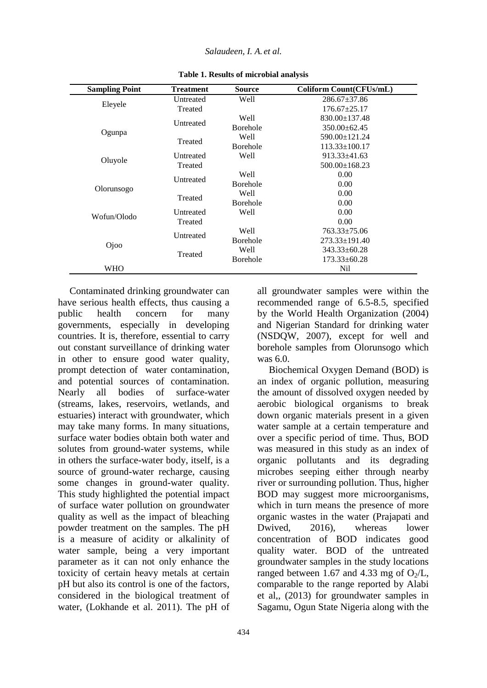| <b>Sampling Point</b> | <b>Treatment</b> | <b>Source</b>   | Coliform Count(CFUs/mL) |
|-----------------------|------------------|-----------------|-------------------------|
| Eleyele               | Untreated        | Well            | $286.67 \pm 37.86$      |
|                       | Treated          |                 | $176.67 \pm 25.17$      |
| Ogunpa                | Untreated        | Well            | $830.00 \pm 137.48$     |
|                       |                  | <b>Borehole</b> | $350.00 + 62.45$        |
|                       | Treated          | Well            | 590.00±121.24           |
|                       |                  | <b>Borehole</b> | $113.33 \pm 100.17$     |
| Oluyole               | Untreated        | Well            | $913.33 \pm 41.63$      |
|                       | Treated          |                 | $500.00 \pm 168.23$     |
| Olorunsogo            | Untreated        | Well            | 0.00                    |
|                       |                  | <b>Borehole</b> | 0.00                    |
|                       | Treated          | Well            | 0.00                    |
|                       |                  | <b>Borehole</b> | 0.00                    |
| Wofun/Olodo           | Untreated        | Well            | 0.00                    |
|                       | Treated          |                 | 0.00                    |
| Ojoo                  | Untreated        | Well            | $763.33 \pm 75.06$      |
|                       |                  | <b>Borehole</b> | $273.33 \pm 191.40$     |
|                       | Treated          | Well            | $343.33 \pm 60.28$      |
|                       |                  | <b>Borehole</b> | $173.33 \pm 60.28$      |
| WHO                   |                  |                 | Nil                     |

**Table 1. Results of microbial analysis**

Contaminated drinking groundwater can have serious health effects, thus causing a public health concern for many governments, especially in developing countries. It is, therefore, essential to carry out constant surveillance of drinking water in other to ensure good water quality, prompt detection of water contamination, and potential sources of contamination. Nearly all bodies of surface-water (streams, lakes, reservoirs, wetlands, and estuaries) interact with groundwater, which may take many forms. In many situations, surface water bodies obtain both water and solutes from ground-water systems, while in others the surface-water body, itself, is a source of ground-water recharge, causing some changes in ground-water quality. This study highlighted the potential impact of surface water pollution on groundwater quality as well as the impact of bleaching powder treatment on the samples. The pH is a measure of acidity or alkalinity of water sample, being a very important parameter as it can not only enhance the toxicity of certain heavy metals at certain pH but also its control is one of the factors, considered in the biological treatment of water, (Lokhande et al. 2011). The pH of

all groundwater samples were within the recommended range of 6.5-8.5, specified by the World Health Organization (2004) and Nigerian Standard for drinking water (NSDQW, 2007), except for well and borehole samples from Olorunsogo which was 6.0.

Biochemical Oxygen Demand (BOD) is an index of organic pollution, measuring the amount of dissolved oxygen needed by aerobic biological organisms to break down organic materials present in a given water sample at a certain temperature and over a specific period of time. Thus, BOD was measured in this study as an index of organic pollutants and its degrading microbes seeping either through nearby river or surrounding pollution. Thus, higher BOD may suggest more microorganisms, which in turn means the presence of more organic wastes in the water (Prajapati and Dwived, 2016), whereas lower concentration of BOD indicates good quality water. BOD of the untreated groundwater samples in the study locations ranged between 1.67 and 4.33 mg of  $O_2/L$ , comparable to the range reported by Alabi et al,, (2013) for groundwater samples in Sagamu, Ogun State Nigeria along with the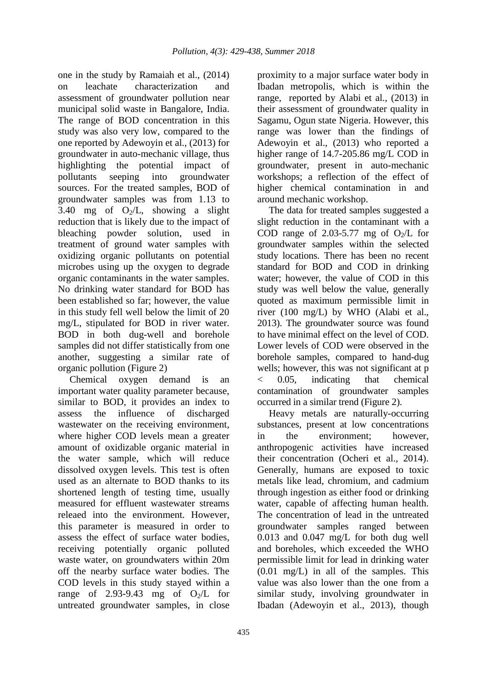one in the study by Ramaiah et al., (2014)<br>on leachate characterization and on leachate characterization and assessment of groundwater pollution near municipal solid waste in Bangalore, India. The range of BOD concentration in this study was also very low, compared to the one reported by Adewoyin et al., (2013) for groundwater in auto-mechanic village, thus highlighting the potential impact of pollutants seeping into groundwater sources. For the treated samples, BOD of groundwater samples was from 1.13 to 3.40 mg of  $O_2/L$ , showing a slight reduction that is likely due to the impact of bleaching powder solution, used in treatment of ground water samples with oxidizing organic pollutants on potential microbes using up the oxygen to degrade organic contaminants in the water samples. No drinking water standard for BOD has been established so far; however, the value in this study fell well below the limit of 20 mg/L, stipulated for BOD in river water. BOD in both dug-well and borehole samples did not differ statistically from one another, suggesting a similar rate of organic pollution (Figure 2)

Chemical oxygen demand is an important water quality parameter because, similar to BOD, it provides an index to assess the influence of discharged wastewater on the receiving environment, where higher COD levels mean a greater amount of oxidizable organic material in the water sample, which will reduce dissolved oxygen levels. This test is often used as an alternate to BOD thanks to its shortened length of testing time, usually measured for effluent wastewater streams releaed into the environment. However, this parameter is measured in order to assess the effect of surface water bodies, receiving potentially organic polluted waste water, on groundwaters within 20m off the nearby surface water bodies. The COD levels in this study stayed within a range of 2.93-9.43 mg of  $O_2/L$  for untreated groundwater samples, in close

proximity to a major surface water body in Ibadan metropolis, which is within the range, reported by Alabi et al., (2013) in their assessment of groundwater quality in Sagamu, Ogun state Nigeria. However, this range was lower than the findings of Adewoyin et al., (2013) who reported a higher range of 14.7-205.86 mg/L COD in groundwater, present in auto-mechanic workshops; a reflection of the effect of higher chemical contamination in and around mechanic workshop.

The data for treated samples suggested a slight reduction in the contaminant with a COD range of 2.03-5.77 mg of  $O_2/L$  for groundwater samples within the selected study locations. There has been no recent standard for BOD and COD in drinking water; however, the value of COD in this study was well below the value, generally quoted as maximum permissible limit in river (100 mg/L) by WHO (Alabi et al., 2013). The groundwater source was found to have minimal effect on the level of COD. Lower levels of COD were observed in the borehole samples, compared to hand-dug wells; however, this was not significant at p < 0.05, indicating that chemical contamination of groundwater samples occurred in a similar trend (Figure 2).

Heavy metals are naturally-occurring substances, present at low concentrations in the environment; however, anthropogenic activities have increased their concentration (Ocheri et al., 2014). Generally, humans are exposed to toxic metals like lead, chromium, and cadmium through ingestion as either food or drinking water, capable of affecting human health. The concentration of lead in the untreated groundwater samples ranged between 0.013 and 0.047 mg/L for both dug well and boreholes, which exceeded the WHO permissible limit for lead in drinking water (0.01 mg/L) in all of the samples. This value was also lower than the one from a similar study, involving groundwater in Ibadan (Adewoyin et al., 2013), though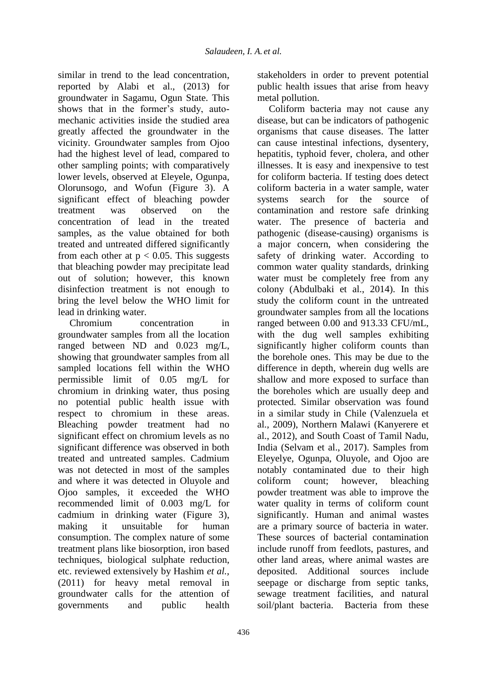similar in trend to the lead concentration, reported by Alabi et al., (2013) for groundwater in Sagamu, Ogun State. This shows that in the former's study, automechanic activities inside the studied area greatly affected the groundwater in the vicinity. Groundwater samples from Ojoo had the highest level of lead, compared to other sampling points; with comparatively lower levels, observed at Eleyele, Ogunpa, Olorunsogo, and Wofun (Figure 3). A significant effect of bleaching powder treatment was observed on the concentration of lead in the treated samples, as the value obtained for both treated and untreated differed significantly from each other at  $p < 0.05$ . This suggests that bleaching powder may precipitate lead out of solution; however, this known disinfection treatment is not enough to bring the level below the WHO limit for lead in drinking water.

Chromium concentration in groundwater samples from all the location ranged between ND and 0.023 mg/L, showing that groundwater samples from all sampled locations fell within the WHO permissible limit of 0.05 mg/L for chromium in drinking water, thus posing no potential public health issue with respect to chromium in these areas. Bleaching powder treatment had no significant effect on chromium levels as no significant difference was observed in both treated and untreated samples. Cadmium was not detected in most of the samples and where it was detected in Oluyole and Ojoo samples, it exceeded the WHO recommended limit of 0.003 mg/L for cadmium in drinking water (Figure 3), making it unsuitable for human consumption. The complex nature of some treatment plans like biosorption, iron based techniques, biological sulphate reduction, etc. reviewed extensively by Hashim *et al.,* (2011) for heavy metal removal in groundwater calls for the attention of governments and public health

stakeholders in order to prevent potential public health issues that arise from heavy metal pollution.

Coliform bacteria may not cause any disease, but can be indicators of pathogenic organisms that cause diseases. The latter can cause intestinal infections, dysentery, hepatitis, typhoid fever, cholera, and other illnesses. It is easy and inexpensive to test for coliform bacteria. If testing does detect coliform bacteria in a water sample, water systems search for the source of contamination and restore safe drinking water. The presence of bacteria and pathogenic (disease-causing) organisms is a major concern, when considering the safety of drinking water. According to common water quality standards, drinking water must be completely free from any colony (Abdulbaki et al., 2014). In this study the coliform count in the untreated groundwater samples from all the locations ranged between 0.00 and 913.33 CFU/mL, with the dug well samples exhibiting significantly higher coliform counts than the borehole ones. This may be due to the difference in depth, wherein dug wells are shallow and more exposed to surface than the boreholes which are usually deep and protected. Similar observation was found in a similar study in Chile (Valenzuela et al., 2009), Northern Malawi (Kanyerere et al., 2012), and South Coast of Tamil Nadu, India (Selvam et al., 2017). Samples from Eleyelye, Ogunpa, Oluyole, and Ojoo are notably contaminated due to their high coliform count; however, bleaching powder treatment was able to improve the water quality in terms of coliform count significantly. Human and animal wastes are a primary source of bacteria in water. These sources of bacterial contamination include runoff from feedlots, pastures, and other land areas, where animal wastes are deposited. Additional sources include seepage or discharge from septic tanks, sewage treatment facilities, and natural soil/plant bacteria. Bacteria from these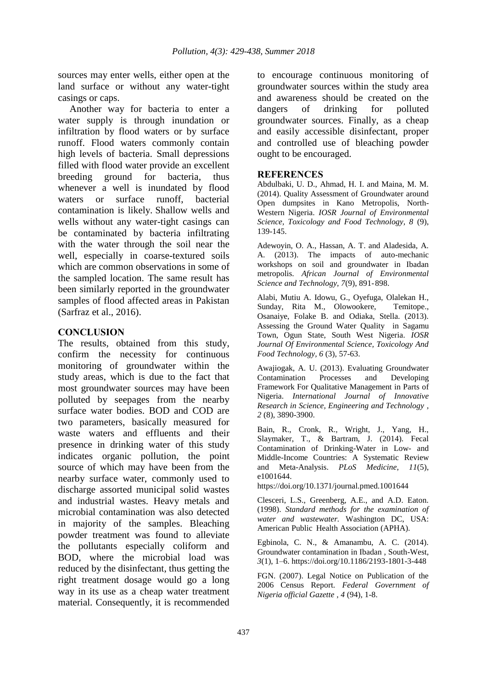sources may enter wells, either open at the land surface or without any water-tight casings or caps.

Another way for bacteria to enter a water supply is through inundation or infiltration by flood waters or by surface runoff. Flood waters commonly contain high levels of bacteria. Small depressions filled with flood water provide an excellent breeding ground for bacteria, thus whenever a well is inundated by flood waters or surface runoff, bacterial contamination is likely. Shallow wells and wells without any water-tight casings can be contaminated by bacteria infiltrating with the water through the soil near the well, especially in coarse-textured soils which are common observations in some of the sampled location. The same result has been similarly reported in the groundwater samples of flood affected areas in Pakistan (Sarfraz et al., 2016).

## **CONCLUSION**

The results, obtained from this study, confirm the necessity for continuous monitoring of groundwater within the study areas, which is due to the fact that most groundwater sources may have been polluted by seepages from the nearby surface water bodies. BOD and COD are two parameters, basically measured for waste waters and effluents and their presence in drinking water of this study indicates organic pollution, the point source of which may have been from the nearby surface water, commonly used to discharge assorted municipal solid wastes and industrial wastes. Heavy metals and microbial contamination was also detected in majority of the samples. Bleaching powder treatment was found to alleviate the pollutants especially coliform and BOD, where the microbial load was reduced by the disinfectant, thus getting the right treatment dosage would go a long way in its use as a cheap water treatment material. Consequently, it is recommended

to encourage continuous monitoring of groundwater sources within the study area and awareness should be created on the dangers of drinking for polluted groundwater sources. Finally, as a cheap and easily accessible disinfectant, proper and controlled use of bleaching powder ought to be encouraged.

### **REFERENCES**

Abdulbaki, U. D., Ahmad, H. I. and Maina, M. M. (2014). Quality Assessment of Groundwater around Open dumpsites in Kano Metropolis, North-Western Nigeria. *IOSR Journal of Environmental Science, Toxicology and Food Technology, 8* (9), 139-145.

Adewoyin, O. A., Hassan, A. T. and Aladesida, A. A. (2013). The impacts of auto-mechanic workshops on soil and groundwater in Ibadan metropolis. *African Journal of Environmental Science and Technology, 7*(9), 891-898.

Alabi, Mutiu A. Idowu, G., Oyefuga, Olalekan H., Sunday, Rita M., Olowookere, Temitope., Osanaiye, Folake B. and Odiaka, Stella. (2013). Assessing the Ground Water Quality in Sagamu Town, Ogun State, South West Nigeria. *IOSR Journal Of Environmental Science, Toxicology And Food Technology, 6* (3), 57-63.

Awajiogak, A. U. (2013). Evaluating Groundwater Contamination Processes and Developing Framework For Qualitative Management in Parts of Nigeria. *International Journal of Innovative Research in Science, Engineering and Technology , 2* (8), 3890-3900.

Bain, R., Cronk, R., Wright, J., Yang, H., Slaymaker, T., & Bartram, J. (2014). Fecal Contamination of Drinking-Water in Low- and Middle-Income Countries: A Systematic Review and Meta-Analysis. *PLoS Medicine*, *11*(5), e1001644.

https://doi.org/10.1371/journal.pmed.1001644

Clesceri, L.S., Greenberg, A.E., and A.D. Eaton. (1998). *Standard methods for the examination of water and wastewater.* Washington DC, USA: American Public Health Association (APHA).

Egbinola, C. N., & Amanambu, A. C. (2014). Groundwater contamination in Ibadan , South-West, *3*(1), 1–6. https://doi.org/10.1186/2193-1801-3-448

FGN. (2007). Legal Notice on Publication of the 2006 Census Report. *Federal Government of Nigeria official Gazette , 4* (94), 1-8.